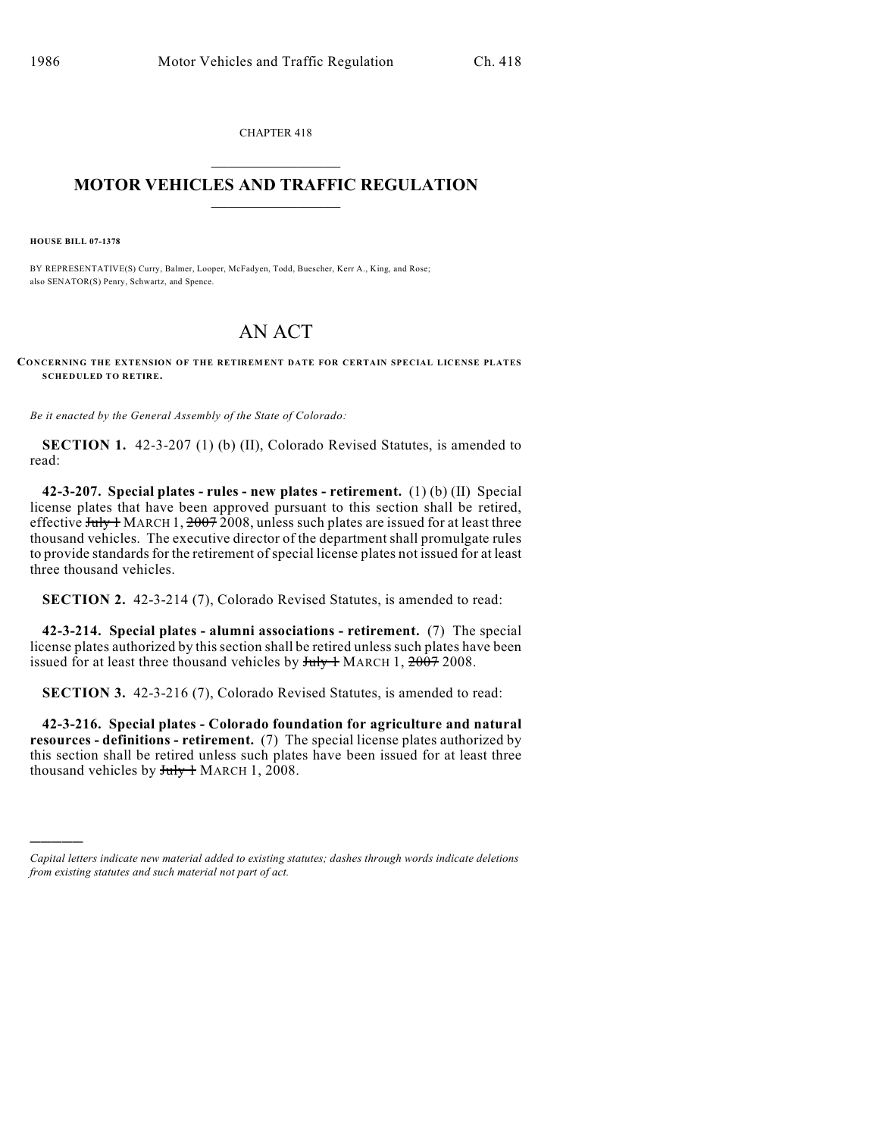CHAPTER 418  $\mathcal{L}_\text{max}$  . The set of the set of the set of the set of the set of the set of the set of the set of the set of the set of the set of the set of the set of the set of the set of the set of the set of the set of the set

## **MOTOR VEHICLES AND TRAFFIC REGULATION**  $\frac{1}{2}$  ,  $\frac{1}{2}$  ,  $\frac{1}{2}$  ,  $\frac{1}{2}$  ,  $\frac{1}{2}$  ,  $\frac{1}{2}$  ,  $\frac{1}{2}$  ,  $\frac{1}{2}$

**HOUSE BILL 07-1378**

)))))

BY REPRESENTATIVE(S) Curry, Balmer, Looper, McFadyen, Todd, Buescher, Kerr A., King, and Rose; also SENATOR(S) Penry, Schwartz, and Spence.

## AN ACT

**CONCERNING THE EXTENSION OF THE RETIREMENT DATE FOR CERTAIN SPECIAL LICENSE PLATES SCHEDULED TO RETIRE.**

*Be it enacted by the General Assembly of the State of Colorado:*

**SECTION 1.** 42-3-207 (1) (b) (II), Colorado Revised Statutes, is amended to read:

**42-3-207. Special plates - rules - new plates - retirement.** (1) (b) (II) Special license plates that have been approved pursuant to this section shall be retired, effective  $J_{\text{uly}} + M_{\text{ARCH}} + 20072008$ , unless such plates are issued for at least three thousand vehicles. The executive director of the department shall promulgate rules to provide standards for the retirement of special license plates not issued for at least three thousand vehicles.

**SECTION 2.** 42-3-214 (7), Colorado Revised Statutes, is amended to read:

**42-3-214. Special plates - alumni associations - retirement.** (7) The special license plates authorized by this section shall be retired unless such plates have been issued for at least three thousand vehicles by  $July + MARCH$  1,  $2007$  2008.

**SECTION 3.** 42-3-216 (7), Colorado Revised Statutes, is amended to read:

**42-3-216. Special plates - Colorado foundation for agriculture and natural resources - definitions - retirement.** (7) The special license plates authorized by this section shall be retired unless such plates have been issued for at least three thousand vehicles by  $July + MARCH$  1, 2008.

*Capital letters indicate new material added to existing statutes; dashes through words indicate deletions from existing statutes and such material not part of act.*